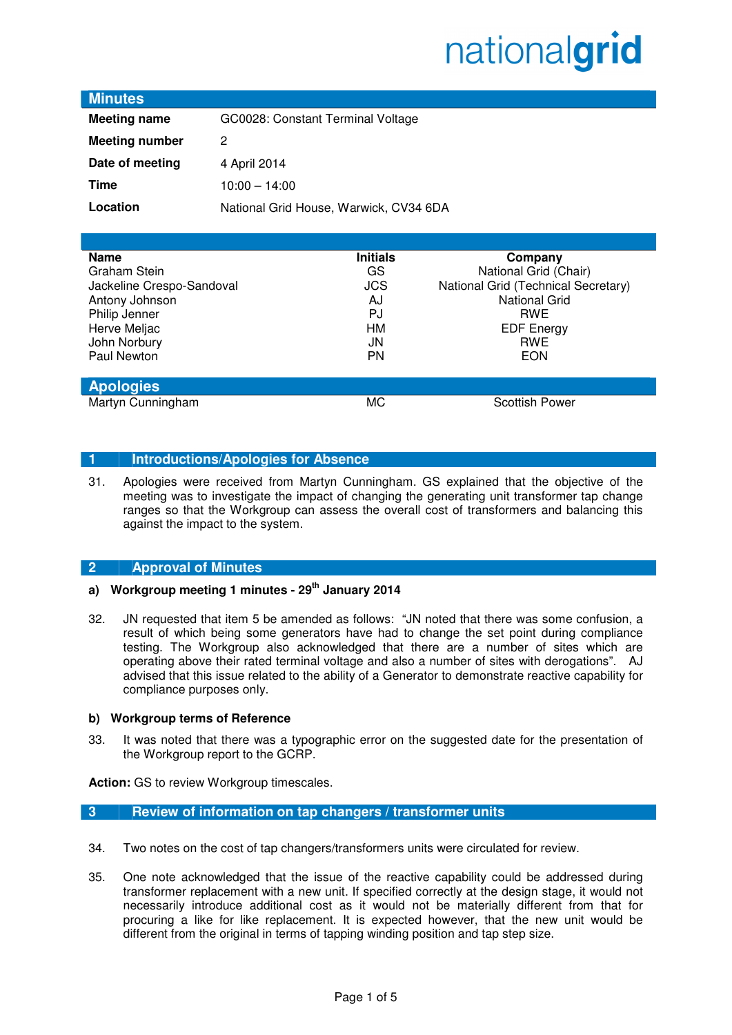### **Minutes**

| <b>Meeting name</b>   | GC0028: Constant Terminal Voltage      |
|-----------------------|----------------------------------------|
| <b>Meeting number</b> | 2                                      |
| Date of meeting       | 4 April 2014                           |
| Time                  | $10:00 - 14:00$                        |
| Location              | National Grid House, Warwick, CV34 6DA |

| <b>Name</b>               | <b>Initials</b> | Company                             |
|---------------------------|-----------------|-------------------------------------|
| Graham Stein              | GS              | National Grid (Chair)               |
| Jackeline Crespo-Sandoval | <b>JCS</b>      | National Grid (Technical Secretary) |
| Antony Johnson            | AJ              | <b>National Grid</b>                |
| Philip Jenner             | <b>PJ</b>       | <b>RWE</b>                          |
| Herve Meljac              | HМ              | <b>EDF Energy</b>                   |
| John Norbury              | JN              | <b>RWE</b>                          |
| Paul Newton               | <b>PN</b>       | <b>EON</b>                          |
|                           |                 |                                     |
| <b>Apologies</b>          |                 |                                     |
| Martyn Cunningham         | МC              | <b>Scottish Power</b>               |

### **1 Introductions/Apologies for Absence**

31. Apologies were received from Martyn Cunningham. GS explained that the objective of the meeting was to investigate the impact of changing the generating unit transformer tap change ranges so that the Workgroup can assess the overall cost of transformers and balancing this against the impact to the system.

### **2 Approval of Minutes**

### **a) Workgroup meeting 1 minutes - 29th January 2014**

32. JN requested that item 5 be amended as follows: "JN noted that there was some confusion, a result of which being some generators have had to change the set point during compliance testing. The Workgroup also acknowledged that there are a number of sites which are operating above their rated terminal voltage and also a number of sites with derogations". AJ advised that this issue related to the ability of a Generator to demonstrate reactive capability for compliance purposes only.

### **b) Workgroup terms of Reference**

33. It was noted that there was a typographic error on the suggested date for the presentation of the Workgroup report to the GCRP.

**Action:** GS to review Workgroup timescales.

### **3 Review of information on tap changers / transformer units**

- 34. Two notes on the cost of tap changers/transformers units were circulated for review.
- 35. One note acknowledged that the issue of the reactive capability could be addressed during transformer replacement with a new unit. If specified correctly at the design stage, it would not necessarily introduce additional cost as it would not be materially different from that for procuring a like for like replacement. It is expected however, that the new unit would be different from the original in terms of tapping winding position and tap step size.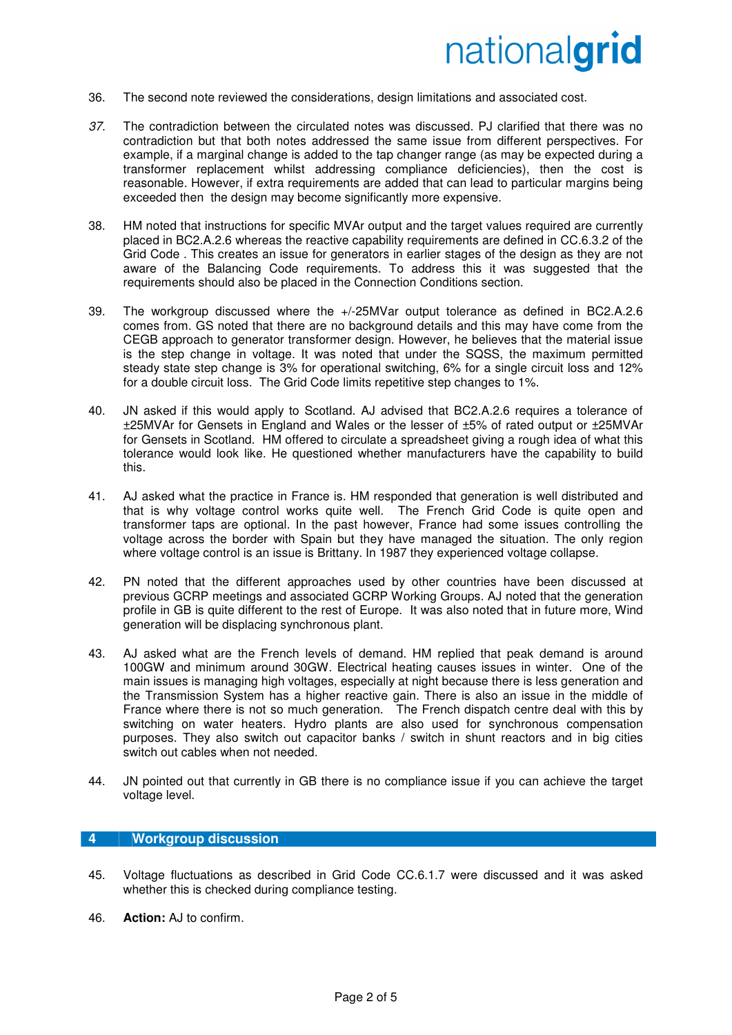- 36. The second note reviewed the considerations, design limitations and associated cost.
- 37. The contradiction between the circulated notes was discussed. PJ clarified that there was no contradiction but that both notes addressed the same issue from different perspectives. For example, if a marginal change is added to the tap changer range (as may be expected during a transformer replacement whilst addressing compliance deficiencies), then the cost is reasonable. However, if extra requirements are added that can lead to particular margins being exceeded then the design may become significantly more expensive.
- 38. HM noted that instructions for specific MVAr output and the target values required are currently placed in BC2.A.2.6 whereas the reactive capability requirements are defined in CC.6.3.2 of the Grid Code . This creates an issue for generators in earlier stages of the design as they are not aware of the Balancing Code requirements. To address this it was suggested that the requirements should also be placed in the Connection Conditions section.
- 39. The workgroup discussed where the +/-25MVar output tolerance as defined in BC2.A.2.6 comes from. GS noted that there are no background details and this may have come from the CEGB approach to generator transformer design. However, he believes that the material issue is the step change in voltage. It was noted that under the SQSS, the maximum permitted steady state step change is 3% for operational switching, 6% for a single circuit loss and 12% for a double circuit loss. The Grid Code limits repetitive step changes to 1%.
- 40. JN asked if this would apply to Scotland. AJ advised that BC2.A.2.6 requires a tolerance of ±25MVAr for Gensets in England and Wales or the lesser of ±5% of rated output or ±25MVAr for Gensets in Scotland. HM offered to circulate a spreadsheet giving a rough idea of what this tolerance would look like. He questioned whether manufacturers have the capability to build this.
- 41. AJ asked what the practice in France is. HM responded that generation is well distributed and that is why voltage control works quite well. The French Grid Code is quite open and transformer taps are optional. In the past however, France had some issues controlling the voltage across the border with Spain but they have managed the situation. The only region where voltage control is an issue is Brittany. In 1987 they experienced voltage collapse.
- 42. PN noted that the different approaches used by other countries have been discussed at previous GCRP meetings and associated GCRP Working Groups. AJ noted that the generation profile in GB is quite different to the rest of Europe. It was also noted that in future more, Wind generation will be displacing synchronous plant.
- 43. AJ asked what are the French levels of demand. HM replied that peak demand is around 100GW and minimum around 30GW. Electrical heating causes issues in winter. One of the main issues is managing high voltages, especially at night because there is less generation and the Transmission System has a higher reactive gain. There is also an issue in the middle of France where there is not so much generation. The French dispatch centre deal with this by switching on water heaters. Hydro plants are also used for synchronous compensation purposes. They also switch out capacitor banks / switch in shunt reactors and in big cities switch out cables when not needed.
- 44. JN pointed out that currently in GB there is no compliance issue if you can achieve the target voltage level.

#### **4 Workgroup discussion**

- 45. Voltage fluctuations as described in Grid Code CC.6.1.7 were discussed and it was asked whether this is checked during compliance testing.
- 46. **Action:** AJ to confirm.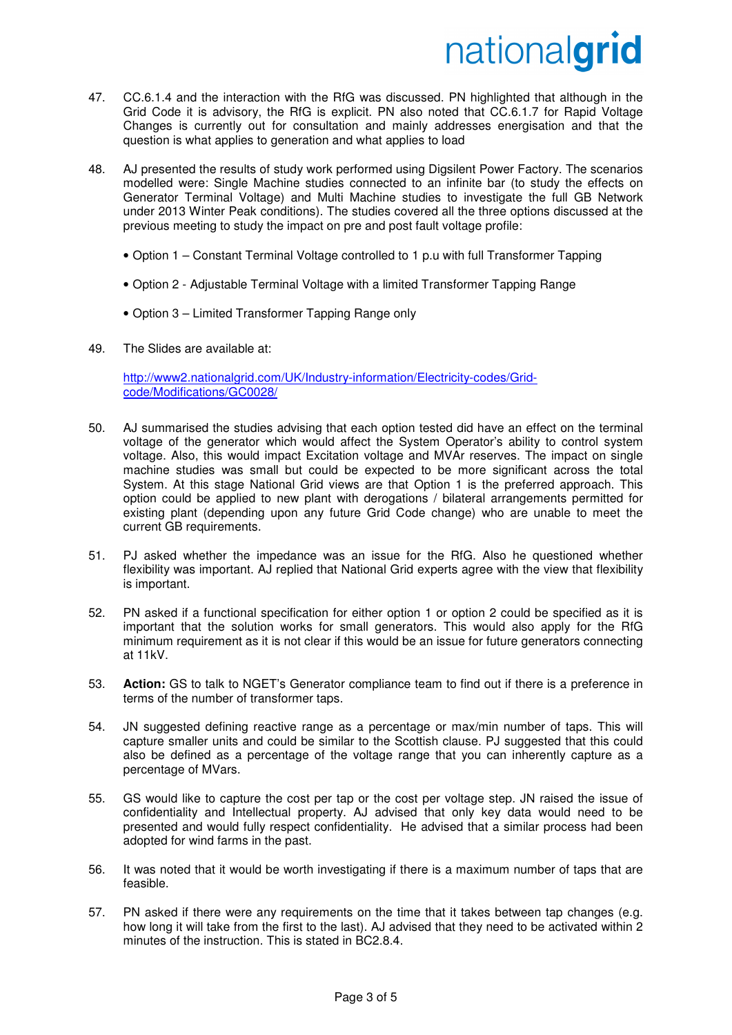- 47. CC.6.1.4 and the interaction with the RfG was discussed. PN highlighted that although in the Grid Code it is advisory, the RfG is explicit. PN also noted that CC.6.1.7 for Rapid Voltage Changes is currently out for consultation and mainly addresses energisation and that the question is what applies to generation and what applies to load
- 48. AJ presented the results of study work performed using Digsilent Power Factory. The scenarios modelled were: Single Machine studies connected to an infinite bar (to study the effects on Generator Terminal Voltage) and Multi Machine studies to investigate the full GB Network under 2013 Winter Peak conditions). The studies covered all the three options discussed at the previous meeting to study the impact on pre and post fault voltage profile:
	- Option 1 Constant Terminal Voltage controlled to 1 p.u with full Transformer Tapping
	- Option 2 Adjustable Terminal Voltage with a limited Transformer Tapping Range
	- Option 3 Limited Transformer Tapping Range only
- 49. The Slides are available at:

http://www2.nationalgrid.com/UK/Industry-information/Electricity-codes/Gridcode/Modifications/GC0028/

- 50. AJ summarised the studies advising that each option tested did have an effect on the terminal voltage of the generator which would affect the System Operator's ability to control system voltage. Also, this would impact Excitation voltage and MVAr reserves. The impact on single machine studies was small but could be expected to be more significant across the total System. At this stage National Grid views are that Option 1 is the preferred approach. This option could be applied to new plant with derogations / bilateral arrangements permitted for existing plant (depending upon any future Grid Code change) who are unable to meet the current GB requirements.
- 51. PJ asked whether the impedance was an issue for the RfG. Also he questioned whether flexibility was important. AJ replied that National Grid experts agree with the view that flexibility is important.
- 52. PN asked if a functional specification for either option 1 or option 2 could be specified as it is important that the solution works for small generators. This would also apply for the RfG minimum requirement as it is not clear if this would be an issue for future generators connecting at 11kV.
- 53. **Action:** GS to talk to NGET's Generator compliance team to find out if there is a preference in terms of the number of transformer taps.
- 54. JN suggested defining reactive range as a percentage or max/min number of taps. This will capture smaller units and could be similar to the Scottish clause. PJ suggested that this could also be defined as a percentage of the voltage range that you can inherently capture as a percentage of MVars.
- 55. GS would like to capture the cost per tap or the cost per voltage step. JN raised the issue of confidentiality and Intellectual property. AJ advised that only key data would need to be presented and would fully respect confidentiality. He advised that a similar process had been adopted for wind farms in the past.
- 56. It was noted that it would be worth investigating if there is a maximum number of taps that are feasible.
- 57. PN asked if there were any requirements on the time that it takes between tap changes (e.g. how long it will take from the first to the last). AJ advised that they need to be activated within 2 minutes of the instruction. This is stated in BC2.8.4.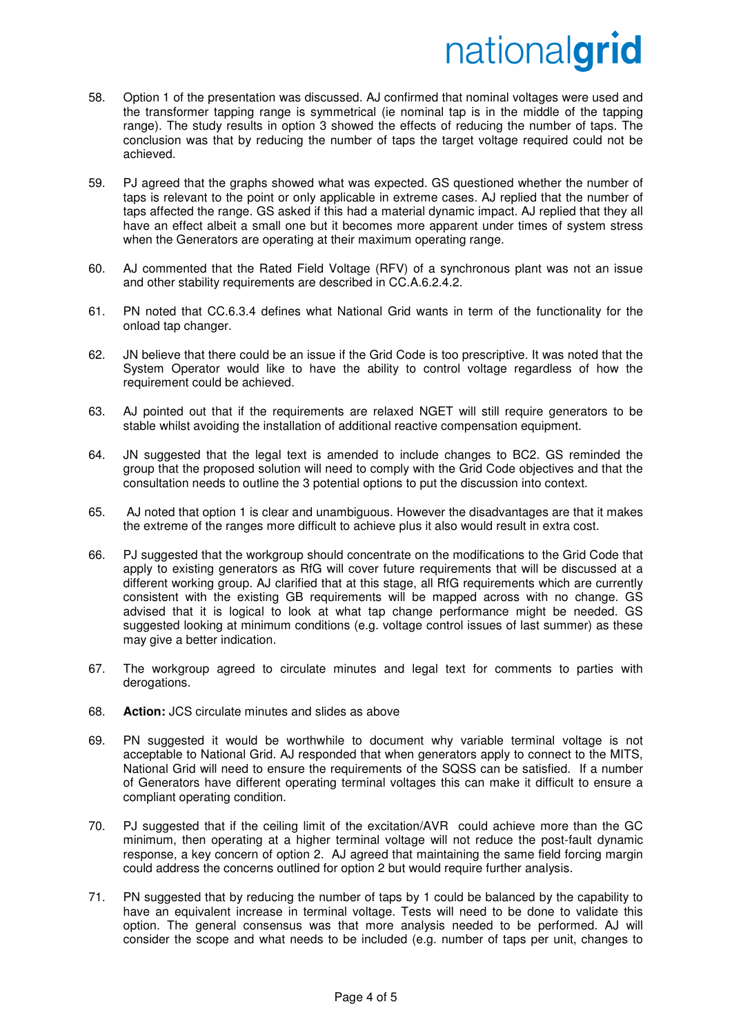- 58. Option 1 of the presentation was discussed. AJ confirmed that nominal voltages were used and the transformer tapping range is symmetrical (ie nominal tap is in the middle of the tapping range). The study results in option 3 showed the effects of reducing the number of taps. The conclusion was that by reducing the number of taps the target voltage required could not be achieved.
- 59. PJ agreed that the graphs showed what was expected. GS questioned whether the number of taps is relevant to the point or only applicable in extreme cases. AJ replied that the number of taps affected the range. GS asked if this had a material dynamic impact. AJ replied that they all have an effect albeit a small one but it becomes more apparent under times of system stress when the Generators are operating at their maximum operating range.
- 60. AJ commented that the Rated Field Voltage (RFV) of a synchronous plant was not an issue and other stability requirements are described in CC.A.6.2.4.2.
- 61. PN noted that CC.6.3.4 defines what National Grid wants in term of the functionality for the onload tap changer.
- 62. JN believe that there could be an issue if the Grid Code is too prescriptive. It was noted that the System Operator would like to have the ability to control voltage regardless of how the requirement could be achieved.
- 63. AJ pointed out that if the requirements are relaxed NGET will still require generators to be stable whilst avoiding the installation of additional reactive compensation equipment.
- 64. JN suggested that the legal text is amended to include changes to BC2. GS reminded the group that the proposed solution will need to comply with the Grid Code objectives and that the consultation needs to outline the 3 potential options to put the discussion into context.
- 65. AJ noted that option 1 is clear and unambiguous. However the disadvantages are that it makes the extreme of the ranges more difficult to achieve plus it also would result in extra cost.
- 66. PJ suggested that the workgroup should concentrate on the modifications to the Grid Code that apply to existing generators as RfG will cover future requirements that will be discussed at a different working group. AJ clarified that at this stage, all RfG requirements which are currently consistent with the existing GB requirements will be mapped across with no change. GS advised that it is logical to look at what tap change performance might be needed. GS suggested looking at minimum conditions (e.g. voltage control issues of last summer) as these may give a better indication.
- 67. The workgroup agreed to circulate minutes and legal text for comments to parties with derogations.
- 68. **Action:** JCS circulate minutes and slides as above
- 69. PN suggested it would be worthwhile to document why variable terminal voltage is not acceptable to National Grid. AJ responded that when generators apply to connect to the MITS, National Grid will need to ensure the requirements of the SQSS can be satisfied. If a number of Generators have different operating terminal voltages this can make it difficult to ensure a compliant operating condition.
- 70. PJ suggested that if the ceiling limit of the excitation/AVR could achieve more than the GC minimum, then operating at a higher terminal voltage will not reduce the post-fault dynamic response, a key concern of option 2. AJ agreed that maintaining the same field forcing margin could address the concerns outlined for option 2 but would require further analysis.
- 71. PN suggested that by reducing the number of taps by 1 could be balanced by the capability to have an equivalent increase in terminal voltage. Tests will need to be done to validate this option. The general consensus was that more analysis needed to be performed. AJ will consider the scope and what needs to be included (e.g. number of taps per unit, changes to